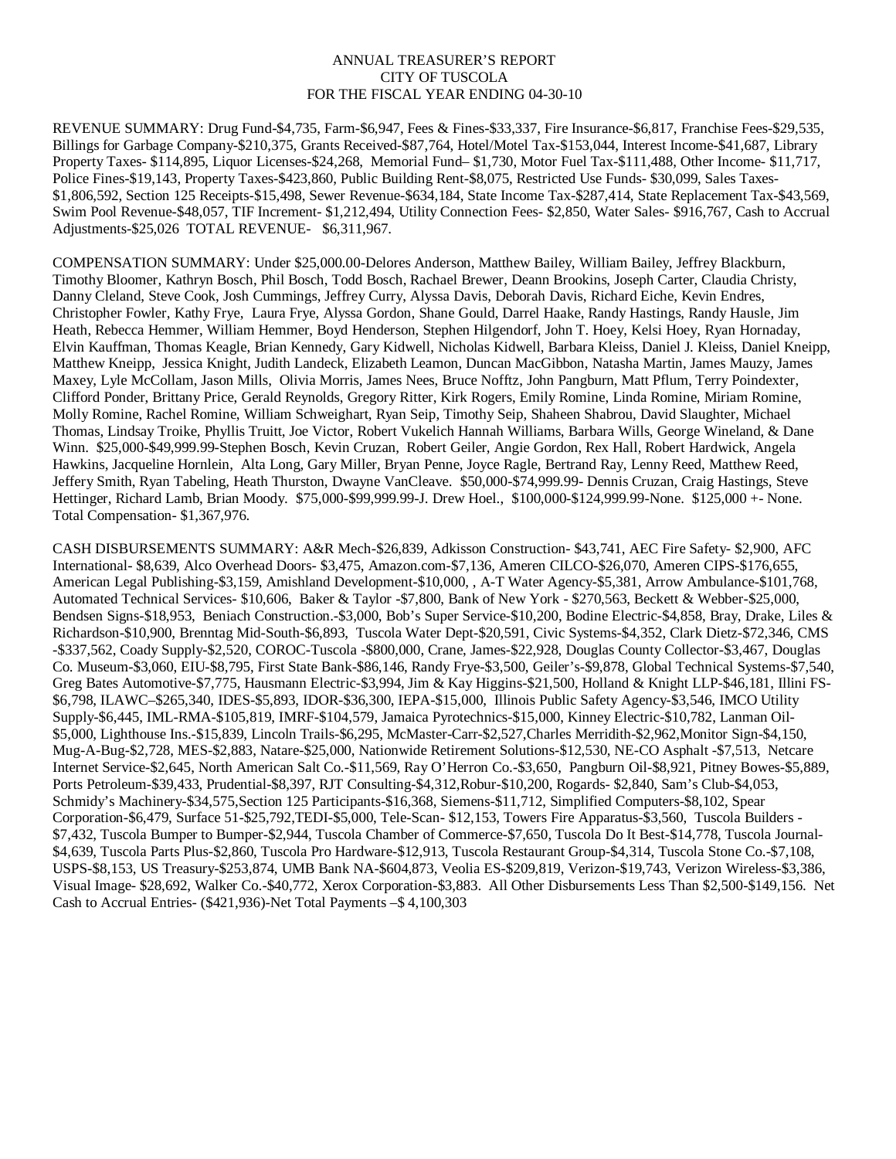## ANNUAL TREASURER'S REPORT CITY OF TUSCOLA FOR THE FISCAL YEAR ENDING 04-30-10

REVENUE SUMMARY: Drug Fund-\$4,735, Farm-\$6,947, Fees & Fines-\$33,337, Fire Insurance-\$6,817, Franchise Fees-\$29,535, Billings for Garbage Company-\$210,375, Grants Received-\$87,764, Hotel/Motel Tax-\$153,044, Interest Income-\$41,687, Library Property Taxes- \$114,895, Liquor Licenses-\$24,268, Memorial Fund– \$1,730, Motor Fuel Tax-\$111,488, Other Income- \$11,717, Police Fines-\$19,143, Property Taxes-\$423,860, Public Building Rent-\$8,075, Restricted Use Funds- \$30,099, Sales Taxes- \$1,806,592, Section 125 Receipts-\$15,498, Sewer Revenue-\$634,184, State Income Tax-\$287,414, State Replacement Tax-\$43,569, Swim Pool Revenue-\$48,057, TIF Increment- \$1,212,494, Utility Connection Fees- \$2,850, Water Sales- \$916,767, Cash to Accrual Adjustments-\$25,026 TOTAL REVENUE- \$6,311,967.

COMPENSATION SUMMARY: Under \$25,000.00-Delores Anderson, Matthew Bailey, William Bailey, Jeffrey Blackburn, Timothy Bloomer, Kathryn Bosch, Phil Bosch, Todd Bosch, Rachael Brewer, Deann Brookins, Joseph Carter, Claudia Christy, Danny Cleland, Steve Cook, Josh Cummings, Jeffrey Curry, Alyssa Davis, Deborah Davis, Richard Eiche, Kevin Endres, Christopher Fowler, Kathy Frye, Laura Frye, Alyssa Gordon, Shane Gould, Darrel Haake, Randy Hastings, Randy Hausle, Jim Heath, Rebecca Hemmer, William Hemmer, Boyd Henderson, Stephen Hilgendorf, John T. Hoey, Kelsi Hoey, Ryan Hornaday, Elvin Kauffman, Thomas Keagle, Brian Kennedy, Gary Kidwell, Nicholas Kidwell, Barbara Kleiss, Daniel J. Kleiss, Daniel Kneipp, Matthew Kneipp, Jessica Knight, Judith Landeck, Elizabeth Leamon, Duncan MacGibbon, Natasha Martin, James Mauzy, James Maxey, Lyle McCollam, Jason Mills, Olivia Morris, James Nees, Bruce Nofftz, John Pangburn, Matt Pflum, Terry Poindexter, Clifford Ponder, Brittany Price, Gerald Reynolds, Gregory Ritter, Kirk Rogers, Emily Romine, Linda Romine, Miriam Romine, Molly Romine, Rachel Romine, William Schweighart, Ryan Seip, Timothy Seip, Shaheen Shabrou, David Slaughter, Michael Thomas, Lindsay Troike, Phyllis Truitt, Joe Victor, Robert Vukelich Hannah Williams, Barbara Wills, George Wineland, & Dane Winn. \$25,000-\$49,999.99-Stephen Bosch, Kevin Cruzan, Robert Geiler, Angie Gordon, Rex Hall, Robert Hardwick, Angela Hawkins, Jacqueline Hornlein, Alta Long, Gary Miller, Bryan Penne, Joyce Ragle, Bertrand Ray, Lenny Reed, Matthew Reed, Jeffery Smith, Ryan Tabeling, Heath Thurston, Dwayne VanCleave. \$50,000-\$74,999.99- Dennis Cruzan, Craig Hastings, Steve Hettinger, Richard Lamb, Brian Moody. \$75,000-\$99,999.99-J. Drew Hoel., \$100,000-\$124,999.99-None. \$125,000 +- None. Total Compensation- \$1,367,976.

CASH DISBURSEMENTS SUMMARY: A&R Mech-\$26,839, Adkisson Construction- \$43,741, AEC Fire Safety- \$2,900, AFC International- \$8,639, Alco Overhead Doors- \$3,475, Amazon.com-\$7,136, Ameren CILCO-\$26,070, Ameren CIPS-\$176,655, American Legal Publishing-\$3,159, Amishland Development-\$10,000, , A-T Water Agency-\$5,381, Arrow Ambulance-\$101,768, Automated Technical Services- \$10,606, Baker & Taylor -\$7,800, Bank of New York - \$270,563, Beckett & Webber-\$25,000, Bendsen Signs-\$18,953, Beniach Construction.-\$3,000, Bob's Super Service-\$10,200, Bodine Electric-\$4,858, Bray, Drake, Liles & Richardson-\$10,900, Brenntag Mid-South-\$6,893, Tuscola Water Dept-\$20,591, Civic Systems-\$4,352, Clark Dietz-\$72,346, CMS -\$337,562, Coady Supply-\$2,520, COROC-Tuscola -\$800,000, Crane, James-\$22,928, Douglas County Collector-\$3,467, Douglas Co. Museum-\$3,060, EIU-\$8,795, First State Bank-\$86,146, Randy Frye-\$3,500, Geiler's-\$9,878, Global Technical Systems-\$7,540, Greg Bates Automotive-\$7,775, Hausmann Electric-\$3,994, Jim & Kay Higgins-\$21,500, Holland & Knight LLP-\$46,181, Illini FS- \$6,798, ILAWC–\$265,340, IDES-\$5,893, IDOR-\$36,300, IEPA-\$15,000, Illinois Public Safety Agency-\$3,546, IMCO Utility Supply-\$6,445, IML-RMA-\$105,819, IMRF-\$104,579, Jamaica Pyrotechnics-\$15,000, Kinney Electric-\$10,782, Lanman Oil- \$5,000, Lighthouse Ins.-\$15,839, Lincoln Trails-\$6,295, McMaster-Carr-\$2,527,Charles Merridith-\$2,962,Monitor Sign-\$4,150, Mug-A-Bug-\$2,728, MES-\$2,883, Natare-\$25,000, Nationwide Retirement Solutions-\$12,530, NE-CO Asphalt -\$7,513, Netcare Internet Service-\$2,645, North American Salt Co.-\$11,569, Ray O'Herron Co.-\$3,650, Pangburn Oil-\$8,921, Pitney Bowes-\$5,889, Ports Petroleum-\$39,433, Prudential-\$8,397, RJT Consulting-\$4,312,Robur-\$10,200, Rogards- \$2,840, Sam's Club-\$4,053, Schmidy's Machinery-\$34,575,Section 125 Participants-\$16,368, Siemens-\$11,712, Simplified Computers-\$8,102, Spear Corporation-\$6,479, Surface 51-\$25,792,TEDI-\$5,000, Tele-Scan- \$12,153, Towers Fire Apparatus-\$3,560, Tuscola Builders - \$7,432, Tuscola Bumper to Bumper-\$2,944, Tuscola Chamber of Commerce-\$7,650, Tuscola Do It Best-\$14,778, Tuscola Journal- \$4,639, Tuscola Parts Plus-\$2,860, Tuscola Pro Hardware-\$12,913, Tuscola Restaurant Group-\$4,314, Tuscola Stone Co.-\$7,108, USPS-\$8,153, US Treasury-\$253,874, UMB Bank NA-\$604,873, Veolia ES-\$209,819, Verizon-\$19,743, Verizon Wireless-\$3,386, Visual Image- \$28,692, Walker Co.-\$40,772, Xerox Corporation-\$3,883. All Other Disbursements Less Than \$2,500-\$149,156. Net Cash to Accrual Entries- (\$421,936)-Net Total Payments –\$ 4,100,303